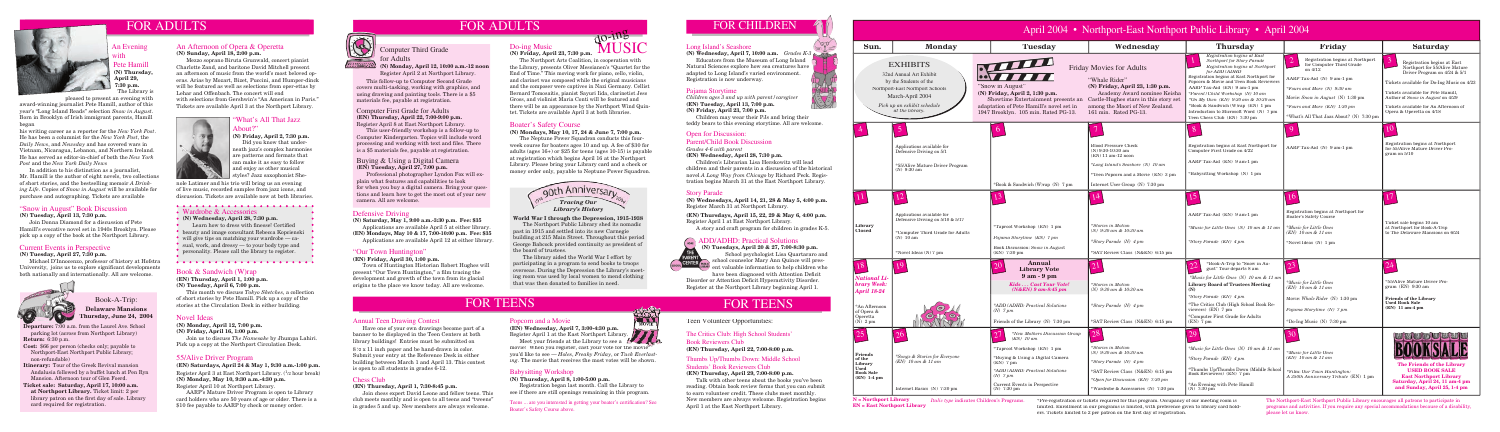

# FOR ADULTS

### Novel Ideas

**(N) Monday, April 12, 7:00 p.m.**

**(N) Friday, April 16, 1:00 p.m.**

 Join us to discuss *The Namesake* by Jhumpa Lahiri. Pick up a copy at the Northport Circulation Desk.

#### Book & Sandwich (W)rap

**(EN) Thursday, April 1, 1:00 p.m. (N) Tuesday, April 6, 7:00 p.m.**

> \*Pre-registration or tickets required for this program. Occupancy of our meeting room is limited. Enrollment in our programs is limited, with preference given to library card holders. Tickets limited to 2 per patron on the first day of registration.

This month we discuss *Tokyo Sketches*, a collection of short stories by Pete Hamill. Pick up a copy of the stories at the Circulation Desk in either building.

> The Northport-East Northport Public Library encourages all patrons to participate in programs and activities. If you require any special accommodations because of a disability, please let us know.



# MUSIC  $dQ$ - $H<sup>2</sup>$

#### Boater's Safety Course

**(N) Mondays, May 10, 17, 24 & June 7, 7:00 p.m.**

Learn how to dress with finesse! Certified beauty and image consultant Rebecca Kopcienski will give tips on matching your wardrobe — casual, work, and dressy — to your body type and personality. Please call the library to register.

 The Neptune Power Squadron conducts this fourweek course for boaters ages 10 and up. A fee of \$30 for adults (ages 16+) or \$25 for teens (ages 10-15) is payable at registration which begins April 16 at the Northport Library. Please bring your Library card and a check or money order only, payable to Neptune Power Squadron.

Register April 3 at East Northport Library. (<sup>1</sup>/2 hour break) **(N) Monday, May 10, 9:30 a.m.-4:30 p.m.** Register April 10 at Northport Library.

### Do-ing Music

**(N) Friday, April 23, 7:30 p.m.**

e Hamill **(N) Thursday, April 29, 7:30 p.m.** The Library is

The Northport Arts Coalition, in cooperation with the Library, presents Oliver Messianen's "Quartet for the End of Time." This moving work for piano, cello, violin, and clarinet was composed while the original musicians and the composer were captives in Nazi Germany. Cellist Bernard Tomosaitis, pianist Sayuri Iida, clarinetist Jess Gross, and violinist Maria Conti will be featured and there will be an appearance by the Northport Wind Quintet. Tickets are available April 3 at both libraries.

> have been diagnosed with Attention Deficit Disorder or Attention Deficit Hyperactivity Disorder. Register at the Northport Library beginning April 1.

# FOR TEENS FOR TEENS

**(N) Wednesday, April 28, 7:30 p.m.**

#### "What's All That Jazz About?"

#### **(N) Friday, April 2, 7:30 p.m.**

 Did you know that underneath jazz's complex harmonies are patterns and formats that can make it as easy to follow and enjoy as other musical styles? Jazz saxophonist She-

#### 55/Alive Driver Program

**(EN) Saturdays, April 24 & May 1, 9:30 a.m.-1:00 p.m.**

 AARP's Mature Driver Program is open to Library card holders who are 50 years of age or older. There is a \$10 fee payable to AARP by check or money order.



#### Defensive Driving

**(N) Saturday, May 1, 9:00 a.m.-3:30 p.m. Fee: \$35** 

 Applications are available April 5 at either library. **(EN) Mondays, May 10 & 17, 7:00-10:00 p.m. Fee: \$35**  Applications are available April 12 at either library.

#### An Evening with

Popcorn and a Movie<br>(EN) Wednesday, April 7, 3:00-4:30 p.m. **(EN) Wednesday, April 7, 3:00-4:30 p.m.** Register April 1 at the East Northport Library.

pleased to present an evening with

award-winning journalist Pete Hamill, author of this year's "Long Island Reads" selection *Snow in August*. Born in Brooklyn of Irish immigrant parents, Hamill began

his writing career as a reporter for the *New York Post*. He has been a columnist for the *New York Post*, the *Daily News*, and *Newsday* and has covered wars in Vietnam, Nicaragua, Lebanon, and Northern Ireland. He has served as editor-in-chief of both the *New York Post* and the *New York Daily News*.

 In addition to his distinction as a journalist, Mr. Hamill is the author of eight novels, two collections of short stories, and the bestselling memoir *A Drinking Life*. Copies of *Snow in August* will be available for purchase and autographing. Tickets are available

#### "Our Town Huntington"

#### **(EN) Friday, April 30, 1:00 p.m.**

 Town of Huntington Historian Robert Hughes will present "Our Town Huntington," a film tracing the development and growth of the town from its glacial origins to the place we know today. All are welcome.

#### An Afternoon of Opera & Operetta **(N) Sunday, April 18, 2:00 p.m.**

 Mezzo soprano Biruta Grunwald, concert pianist Charlotte Zand, and baritone David Mitchell present an afternoon of music from the world's most beloved operas. Arias by Mozart, Bizet, Puccini, and Humper-dinck will be featured as well as selections from oper-ettas by Lehar and Offenbach. The concert will end with selections from Gershwin's "An American in Paris." Tickets are available April 3 at the Northport Library.



**(N) Tuesdays, April 20 & 27, 7:00-8:30 p.m.** School psychologist Lisa Quartararo and CENTER (FINE) School counselor Mary Ann Quince will present valuable information to help children who

#### Buying & Using a Digital Camera **(EN) Tuesday, April 27, 7:00 p.m.**

 Professional photographer Lyndon Fox will explain what features and capabilities to look for when you buy a digital camera. Bring your questions and learn how to get the most out of your new camera. All are welcome.

nole Latimer and his trio will bring us an evening of live music, recorded samples from jazz icons, and discussion. Tickets are available now at both libraries.

#### • Wardrobe & Accessories

Teens ... are you interested in getting your boater's certification? See Boater's Safety Course above.

**Departure:** 7:00 a.m. from the Laurel Ave. School parking lot (across from Northport Library) **Return:** 6:30 p.m.

**Cost:** \$66 per person (checks only; payable to Northport-East Northport Public Library; non-refundable)

**Itinerary:** Tour of the Greek Revival mansion Andalusia followed by a buffet lunch at Pen Ryn Mansion. Afternoon tour of Glen Foerd.

**Ticket sale: Saturday, April 17, 10:00 a.m. at Northport Library.** Ticket limit: 2 per library patron on the first day of sale. Library card required for registration.

Book-A-Trip: **Delaware Mansions Thursday, June 24, 2004**



| April 2004 • Northport-East Northport Public Library • April 2004                              |                                                                                                                                                                                |                                                                                                                                                                                                                                   |                                                                                                                                                                                                                          |                                                                                                                                                                                                                                                                                                                                                                                                                                |                                                                                                                                                                                                                                                                         |                                                                                                                                                                                                                                                                                                             |
|------------------------------------------------------------------------------------------------|--------------------------------------------------------------------------------------------------------------------------------------------------------------------------------|-----------------------------------------------------------------------------------------------------------------------------------------------------------------------------------------------------------------------------------|--------------------------------------------------------------------------------------------------------------------------------------------------------------------------------------------------------------------------|--------------------------------------------------------------------------------------------------------------------------------------------------------------------------------------------------------------------------------------------------------------------------------------------------------------------------------------------------------------------------------------------------------------------------------|-------------------------------------------------------------------------------------------------------------------------------------------------------------------------------------------------------------------------------------------------------------------------|-------------------------------------------------------------------------------------------------------------------------------------------------------------------------------------------------------------------------------------------------------------------------------------------------------------|
| Sun.                                                                                           | <b>Monday</b>                                                                                                                                                                  | <b>Tuesday</b>                                                                                                                                                                                                                    | Wednesday                                                                                                                                                                                                                | <b>Thursday</b>                                                                                                                                                                                                                                                                                                                                                                                                                | Friday                                                                                                                                                                                                                                                                  | <b>Saturday</b>                                                                                                                                                                                                                                                                                             |
|                                                                                                | <b>EXHIBITS</b><br>32nd Annual Art Exhibit<br>by the Students of the<br>Northport-East Northport Schools<br>March-April 2004<br>Pick up an exhibit schedule<br>at the library. | "Snow in August"<br>(N) Friday, April 2, 1:30 p.m.<br>Showtime Entertainment presents an<br>adaptation of Pete Hamill's novel set in<br>1947 Brooklyn. 105 min. Rated PG-13.                                                      | <b>Friday Movies for Adults</b><br>"Whale Rider"<br>(N) Friday, April 23, 1:30 p.m.<br>Academy Award nominee Keisha<br>Castle-Hughes stars in this story set<br>among the Maori of New Zealand.<br>161 min. Rated PG-13. | Registration begins at East<br>Northport for Story Parade<br>Registration begins at Northport<br>for ADD/ADHD<br>Registration begins at East Northport for<br>Popcorn & Movie and Teen Book Reviewers<br>AARP Tax-Aid (EN) 9 am-1 pm<br>*Parent/Child Workshop (N) 10 am<br>*On My Own (EN) 9:30 am & 10:30 am<br>*Book & Sandwich (W)rap (EN) 1 pm<br>Introduction to Microsoft Word (N) 7 pm<br>Teen Chess Club (EN) 7:30 pm | 2 <br>Registration begins at Northport<br>for Computer Third Grade<br>on 4/12<br>AARP Tax-Aid (N) 9 am-1 pm<br>*Fours and More $(N)$ 9:30 am<br>Movie: Snow in August (N) $1:30 \text{ pm}$<br>*Fours and More (EN) 1:30 pm<br>*What's All That Jazz About? (N) 7:30 pm | $\overline{3}$<br>Registration begins at East<br>Northport for 55/Alive Mature<br>Driver Program on 4/24 & 5/1<br>Tickets available for Do-Ing Music on 4/23<br>Tickets available for Pete Hamill,<br>Author of Snow in August on 4/29<br>Tickets available for An Afternoon of<br>Opera & Operetta on 4/18 |
|                                                                                                | $\overline{5}$<br>Applications available for<br>Defensive Driving on 5/1<br>*55/Alive Mature Driver Program<br>$(N)$ 9:30 am                                                   | *Book & Sandwich (W)rap (N) 7 pm                                                                                                                                                                                                  | <b>Blood Pressure Check</b><br>$(N)$ 9:30-10:30 am<br>$(EN)$ 11 am-12 noon<br>*Long Island's Seashore (N) 10 am<br>*Teen Popcorn and a Movie (EN) 3 pm<br>Internet User Group (N) 7:30 pm                                | 8<br>Registration begins at East Northport for<br>Computer First Grade on 4/22<br>AARP Tax-Aid (EN) 9 am-1 pm<br>*Babysitting Workshop (N) 1 pm                                                                                                                                                                                                                                                                                | AARP Tax-Aid (N) 9 am-1 pm                                                                                                                                                                                                                                              | 10<br>Registration begins at Northport<br>for 55/Alive Mature Driver Pro-<br>gram on 5/10                                                                                                                                                                                                                   |
| rary<br>sed                                                                                    | Applications available for<br>Defensive Driving on $5/10 \& 5/17$<br>*Computer Third Grade for Adults<br>$(N)$ 10 am<br>*Novel Ideas $({\rm N})$ 7 pm                          | *Taproot Workshop (EN) 1 pm<br>Pajama Storytime (EN) 7 pm<br>Book Discussion: Snow in August<br>$(EN)$ 7:30 pm                                                                                                                    | 14<br><i>*Stories in Motion</i><br>$(N)$ 9:30 am & 10:30 am<br>*Story Parade (N) 4 pm<br>*SAT Review Class (N&EN) 6:15 pm                                                                                                | AARP Tax-Aid (EN) 9 am-1 pm<br>*Music for Little Ones (N) 10 am & 11 am<br>*Story Parade (EN) 4 pm                                                                                                                                                                                                                                                                                                                             | 16<br>Registration begins at Northport for<br>Boater's Safety Course<br><i>*Music for Little Ones</i><br>$(EN)$ 10 am & 11 am<br>*Novel Ideas (N) 1 pm                                                                                                                  | Ticket sale begins 10 am<br>at Northport for Book-A-Trip<br>to The Delaware Mansions on 6/24                                                                                                                                                                                                                |
| tional Li-<br><b>ry Week:</b><br>ril 18-24<br>Afternoon<br>pera &<br>retta<br>$2\ \mathrm{pm}$ |                                                                                                                                                                                | Annual<br>$20^{\circ}$<br><b>Library Vote</b><br>$9am - 9pm$<br>Kids Cast Your Vote!<br>$(N&EN)$ 9 am-8:45 pm<br>*ADD/ADHD: Practical Solutions<br>$(N)$ 7 pm<br>Friends of the Library (N) 7:30 pm                               | <i>*Stories in Motion</i><br>(N) $9:30$ am & 10:30 am<br>*Story Parade $(N)$ 4 pm<br>*SAT Review Class (N&EN) 6:15 pm                                                                                                    | *Book-A-Trip to "Snow in Au-<br>gust" Tour departs 8 am<br>*Music for Little Ones (N) 10 am & 11 am<br><b>Library Board of Trustees Meeting</b><br>(N)<br>*Story Parade (EN) 4 pm<br>*The Critics Club (High School Book Re-<br>viewers) (EN) 7 pm<br>*Computer First Grade for Adults<br>$(EN)$ 7 pm                                                                                                                          | 23<br><i>*Music for Little Ones</i><br>$(EN)$ 10 am & 11 am<br>Movie: Whale Rider (N) 1:30 pm<br>Pajama Storytime (N) 7 pm<br>*Do-Ing Music $(N)$ 7:30 pm                                                                                                               | 24<br>*55/Alive Mature Driver Pro-<br>gram $(EN)$ 9:30 am<br><b>Friends of the Library</b><br><b>Used Book Sale</b><br>(EN) 11 am-4 pm                                                                                                                                                                      |
| ends<br>ne<br>rary<br>d<br>k Sale<br>$1-4$ pm                                                  | 26<br>*Songs & Stories for Everyone<br>$(EN)$ 10 am & 11 am<br>Internet Basics (N) 7:30 pm                                                                                     | *New Mothers Discussion Group<br>$(EN)$ 10 am<br>*Taproot Workshop (EN) 1 pm<br>*Buying & Using a Digital Camera<br>$(EN)$ 7 pm<br>*ADD/ADHD: Practical Solutions<br>$(N)$ 7 pm<br>Current Events in Perspective<br>$(N)$ 7:30 pm | 28<br>*Stories in Motion<br>(N) 9:30 am & 10:30 am<br>*Story Parade (N) 4 pm<br>*SAT Review Class (N&EN) 6:15 pm<br>*Open for Discussion (EN) 7:30 pm<br>*Wardrobe & Accessories (N) 7:30 pm                             | 29<br>*Music for Little Ones (N) 10 am & 11 am<br>*Story Parade (EN) 4 pm<br>*Thumbs Up/Thumbs Down (Middle School<br>Book Reviewers) (EN) 7 pm<br>*An Evening with Pete Hamill<br>$(N)$ 7:30 pm                                                                                                                                                                                                                               | 30<br><i>*Music for Little Ones</i><br>$(EN)$ 10 am & 11 am<br>*Film: Our Town Huntington:<br>A 350th Anniversary Tribute (EN) 1 pm                                                                                                                                     | The Friends of the Library<br><b>USED BOOK SALE</b><br><b>East Northport Library</b><br>Saturday, April 24, 11 am-4 pm<br>and Sunday, April 25, 1-4 pm                                                                                                                                                      |

Computer Third Grade

for Adults

**(N) Monday, April 12, 10:00 a.m.-12 noon**  Register April 2 at Northport Library.

Computer First Grade for Adults **(EN) Thursday, April 22, 7:00-9:00 p.m.** Register April 8 at East Northport Library.

This user-friendly workshop is a follow-up to Computer Kindergarten. Topics will include word processing and working with text and files. There is a \$5 materials fee, payable at registration.



#### Chess Club

#### **(EN) Thursday, April 1, 7:30-8:45 p.m.**

Join chess expert David Leone and fellow teens. This club meets monthly and is open to all teens and "tweens" in grades 5 and up. New members are always welcome.

#### The Critics Club: High School Students'

Book Reviewers Club **(EN) Thursday, April 22, 7:00-8:00 p.m.**

## Thumbs Up/Thumbs Down: Middle School

#### Students' Book Reviewers Club **(EN) Thursday, April 29, 7:00-8:00 p.m.**

 Talk with other teens about the books you've been reading. Obtain book review forms that you can submit to earn volunteer credit. These clubs meet monthly. New members are always welcome. Registration begins April 1 at the East Northport Library.

#### Babysitting Workshop

#### **(N) Thursday, April 8, 1:00-5:00 p.m.**

Registration began last month. Call the Library to see if there are still openings remaining in this program.

 Meet your friends at the Library to see a movie! When you register, cast your vote for the movie you'd like to see — *Holes*, *Freaky Friday*, or *Tuck Everlasting*. The movie that receives the most votes will be shown.

#### Annual Teen Drawing Contest

 Have one of your own drawings become part of a banner to be displayed in the Teen Centers at both library buildings! Entries must be submitted on  $8<sup>1</sup>$ /2 x 11 inch paper and be hand-drawn in color. Submit your entry at the Reference Desk in either building between March 1 and April 13. This contest is open to all students in grades 6-12.

Teen Volunteer Opportunities:

#### Open for Discussion:

Parent/Child Book Discussion *Grades 4-6 with parent*

**(EN) Wednesday, April 28, 7:30 p.m.**

 Children's Librarian Lisa Herskowitz will lead children and their parents in a discussion of the historical novel *A Long Way from Chicago* by Richard Peck. Registration begins March 31 at the East Northport Library.

#### Story Parade

**(N) Wednesdays, April 14, 21, 28 & May 5, 4:00 p.m.** Register March 31 at Northport Library.

**(EN) Thursdays, April 15, 22, 29 & May 6, 4:00 p.m.** Register April 1 at East Northport Library.

A story and craft program for children in grades K-5.

### **ADD/ADHD: Practical Solutions**



#### Pajama Storytime

*Children ages 3 and up with parent/caregiver* **(EN) Tuesday, April 13, 7:00 p.m.**

**(N) Friday, April 23, 7:00 p.m.**

 Children may wear their PJs and bring their teddy bears to this evening storytime. All are welcome.

 This follow-up to Computer Second Grade covers multi-tasking, working with graphics, and using drawing and painting tools. There is a \$5 materials fee, payable at registration.

#### Current Events in Perspective

#### **(N) Tuesday, April 27, 7:30 p.m.**

 Michael D'Innocenzo, professor of history at Hofstra University, joins us to explore significant developments both nationally and internationally. All are welcome.



#### Long Island's Seashore

**(N) Wednesday, April 7, 10:00 a.m.** *Grades K-3* Educators from the Museum of Long Island Natural Sciences explore how sea creatures have adapted to Long Island's varied environment. Registration is now underway.

#### "Snow in August" Book Discussion

**(N) Tuesday, April 13, 7:30 p.m.**

 Join Donna Diamond for a discussion of Pete Hamill's evocative novel set in 1940s Brooklyn. Please pick up a copy of the book at the Northport Library.

#### **World War I through the Depression, 1915-1938**

 The Northport Public Library shed its nomadic past in 1915 and settled into its new Carnegie building at 215 Main Street. Throughout this period George Babcock provided continuity as president of the board of trustees.

 The library aided the World War I effort by participating in a program to send books to troops overseas. During the Depression the Library's meeting room was used by local women to mend clothing that was then donated to families in need.

# FOR ADULTS FOR CHILDREN

MOVIE